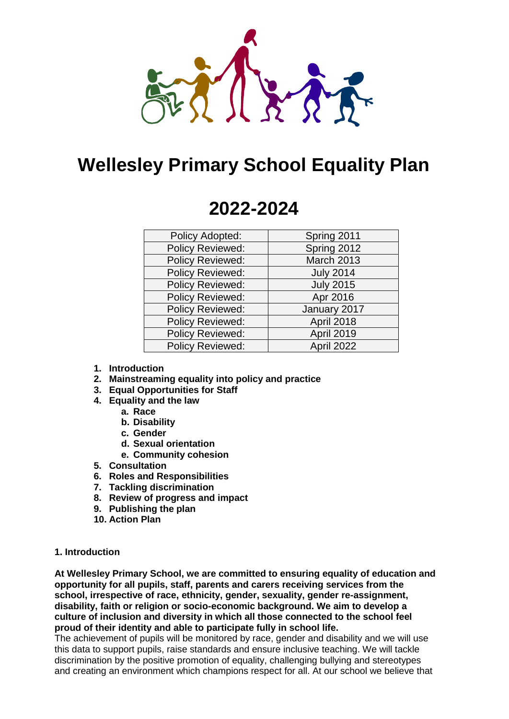

# **Wellesley Primary School Equality Plan**

# **2022-2024**

| Policy Adopted:         | Spring 2011      |
|-------------------------|------------------|
|                         |                  |
| <b>Policy Reviewed:</b> | Spring 2012      |
| <b>Policy Reviewed:</b> | March 2013       |
| <b>Policy Reviewed:</b> | <b>July 2014</b> |
| <b>Policy Reviewed:</b> | <b>July 2015</b> |
| <b>Policy Reviewed:</b> | Apr 2016         |
| <b>Policy Reviewed:</b> | January 2017     |
| <b>Policy Reviewed:</b> | April 2018       |
| <b>Policy Reviewed:</b> | April 2019       |
| <b>Policy Reviewed:</b> | April 2022       |

- **1. Introduction**
- **2. Mainstreaming equality into policy and practice**
- **3. Equal Opportunities for Staff**
- **4. Equality and the law**
	- **a. Race**
	- **b. Disability**
	- **c. Gender**
	- **d. Sexual orientation**
	- **e. Community cohesion**
- **5. Consultation**
- **6. Roles and Responsibilities**
- **7. Tackling discrimination**
- **8. Review of progress and impact**
- **9. Publishing the plan**
- **10. Action Plan**

#### **1. Introduction**

**At Wellesley Primary School, we are committed to ensuring equality of education and opportunity for all pupils, staff, parents and carers receiving services from the school, irrespective of race, ethnicity, gender, sexuality, gender re-assignment, disability, faith or religion or socio-economic background. We aim to develop a culture of inclusion and diversity in which all those connected to the school feel proud of their identity and able to participate fully in school life.** 

The achievement of pupils will be monitored by race, gender and disability and we will use this data to support pupils, raise standards and ensure inclusive teaching. We will tackle discrimination by the positive promotion of equality, challenging bullying and stereotypes and creating an environment which champions respect for all. At our school we believe that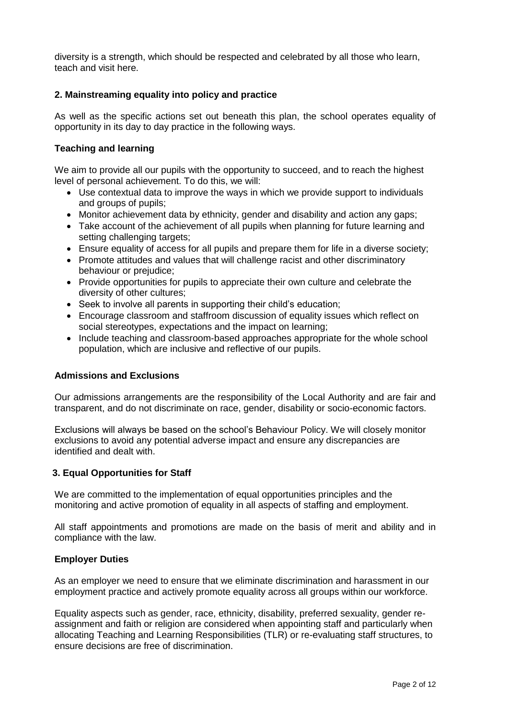diversity is a strength, which should be respected and celebrated by all those who learn, teach and visit here.

## **2. Mainstreaming equality into policy and practice**

As well as the specific actions set out beneath this plan, the school operates equality of opportunity in its day to day practice in the following ways.

## **Teaching and learning**

We aim to provide all our pupils with the opportunity to succeed, and to reach the highest level of personal achievement. To do this, we will:

- Use contextual data to improve the ways in which we provide support to individuals and groups of pupils;
- Monitor achievement data by ethnicity, gender and disability and action any gaps;
- Take account of the achievement of all pupils when planning for future learning and setting challenging targets;
- Ensure equality of access for all pupils and prepare them for life in a diverse society;
- Promote attitudes and values that will challenge racist and other discriminatory behaviour or prejudice;
- Provide opportunities for pupils to appreciate their own culture and celebrate the diversity of other cultures;
- Seek to involve all parents in supporting their child's education;
- Encourage classroom and staffroom discussion of equality issues which reflect on social stereotypes, expectations and the impact on learning;
- Include teaching and classroom-based approaches appropriate for the whole school population, which are inclusive and reflective of our pupils.

## **Admissions and Exclusions**

Our admissions arrangements are the responsibility of the Local Authority and are fair and transparent, and do not discriminate on race, gender, disability or socio-economic factors.

Exclusions will always be based on the school's Behaviour Policy. We will closely monitor exclusions to avoid any potential adverse impact and ensure any discrepancies are identified and dealt with.

#### **3. Equal Opportunities for Staff**

We are committed to the implementation of equal opportunities principles and the monitoring and active promotion of equality in all aspects of staffing and employment.

All staff appointments and promotions are made on the basis of merit and ability and in compliance with the law.

#### **Employer Duties**

As an employer we need to ensure that we eliminate discrimination and harassment in our employment practice and actively promote equality across all groups within our workforce.

Equality aspects such as gender, race, ethnicity, disability, preferred sexuality, gender reassignment and faith or religion are considered when appointing staff and particularly when allocating Teaching and Learning Responsibilities (TLR) or re-evaluating staff structures, to ensure decisions are free of discrimination.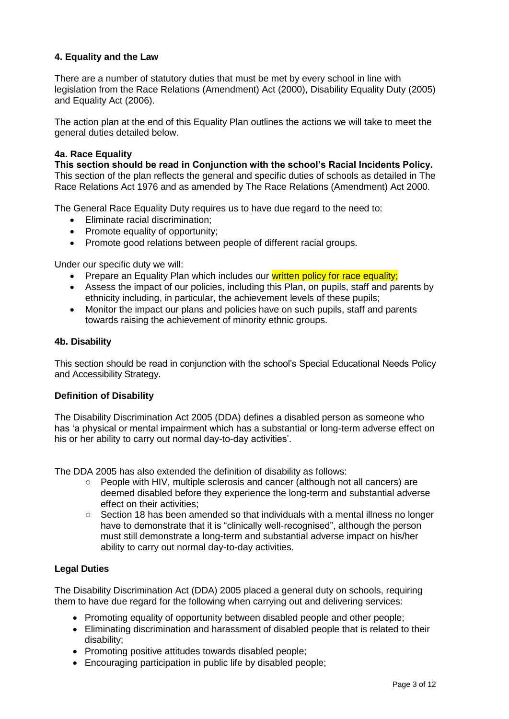# **4. Equality and the Law**

There are a number of statutory duties that must be met by every school in line with legislation from the Race Relations (Amendment) Act (2000), Disability Equality Duty (2005) and Equality Act (2006).

The action plan at the end of this Equality Plan outlines the actions we will take to meet the general duties detailed below.

## **4a. Race Equality**

**This section should be read in Conjunction with the school's Racial Incidents Policy.** This section of the plan reflects the general and specific duties of schools as detailed in The Race Relations Act 1976 and as amended by The Race Relations (Amendment) Act 2000.

The General Race Equality Duty requires us to have due regard to the need to:

- **Eliminate racial discrimination:**
- Promote equality of opportunity;
- Promote good relations between people of different racial groups.

Under our specific duty we will:

- Prepare an Equality Plan which includes our written policy for race equality;
- Assess the impact of our policies, including this Plan, on pupils, staff and parents by ethnicity including, in particular, the achievement levels of these pupils;
- Monitor the impact our plans and policies have on such pupils, staff and parents towards raising the achievement of minority ethnic groups.

#### **4b. Disability**

This section should be read in conjunction with the school's Special Educational Needs Policy and Accessibility Strategy.

#### **Definition of Disability**

The Disability Discrimination Act 2005 (DDA) defines a disabled person as someone who has 'a physical or mental impairment which has a substantial or long-term adverse effect on his or her ability to carry out normal day-to-day activities'.

The DDA 2005 has also extended the definition of disability as follows:

- People with HIV, multiple sclerosis and cancer (although not all cancers) are deemed disabled before they experience the long-term and substantial adverse effect on their activities;
- Section 18 has been amended so that individuals with a mental illness no longer have to demonstrate that it is "clinically well-recognised", although the person must still demonstrate a long-term and substantial adverse impact on his/her ability to carry out normal day-to-day activities.

## **Legal Duties**

The Disability Discrimination Act (DDA) 2005 placed a general duty on schools, requiring them to have due regard for the following when carrying out and delivering services:

- Promoting equality of opportunity between disabled people and other people;
- Eliminating discrimination and harassment of disabled people that is related to their disability;
- Promoting positive attitudes towards disabled people;
- Encouraging participation in public life by disabled people;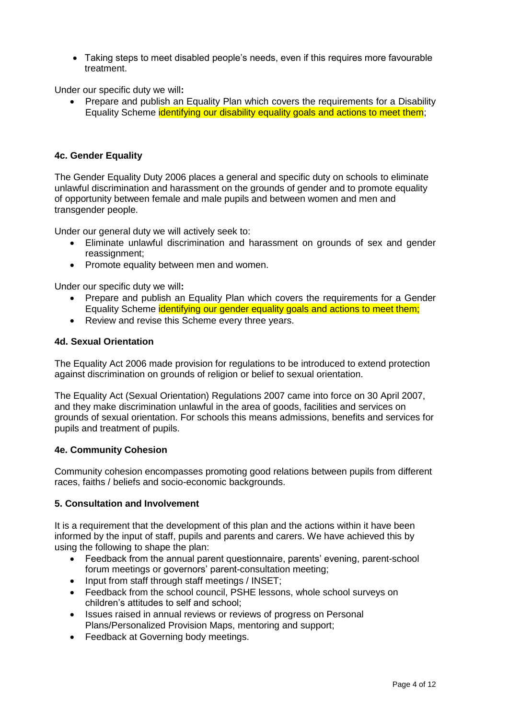Taking steps to meet disabled people's needs, even if this requires more favourable treatment.

Under our specific duty we will**:**

 Prepare and publish an Equality Plan which covers the requirements for a Disability Equality Scheme identifying our disability equality goals and actions to meet them;

## **4c. Gender Equality**

The Gender Equality Duty 2006 places a general and specific duty on schools to eliminate unlawful discrimination and harassment on the grounds of gender and to promote equality of opportunity between female and male pupils and between women and men and transgender people.

Under our general duty we will actively seek to:

- Eliminate unlawful discrimination and harassment on grounds of sex and gender reassignment;
- Promote equality between men and women.

Under our specific duty we will**:**

- Prepare and publish an Equality Plan which covers the requirements for a Gender Equality Scheme identifying our gender equality goals and actions to meet them;
- Review and revise this Scheme every three years.

#### **4d. Sexual Orientation**

The Equality Act 2006 made provision for regulations to be introduced to extend protection against discrimination on grounds of religion or belief to sexual orientation.

The Equality Act (Sexual Orientation) Regulations 2007 came into force on 30 April 2007, and they make discrimination unlawful in the area of goods, facilities and services on grounds of sexual orientation. For schools this means admissions, benefits and services for pupils and treatment of pupils.

#### **4e. Community Cohesion**

Community cohesion encompasses promoting good relations between pupils from different races, faiths / beliefs and socio-economic backgrounds.

#### **5. Consultation and Involvement**

It is a requirement that the development of this plan and the actions within it have been informed by the input of staff, pupils and parents and carers. We have achieved this by using the following to shape the plan:

- Feedback from the annual parent questionnaire, parents' evening, parent-school forum meetings or governors' parent-consultation meeting;
- Input from staff through staff meetings / INSET;
- Feedback from the school council, PSHE lessons, whole school surveys on children's attitudes to self and school;
- Issues raised in annual reviews or reviews of progress on Personal Plans/Personalized Provision Maps, mentoring and support;
- Feedback at Governing body meetings.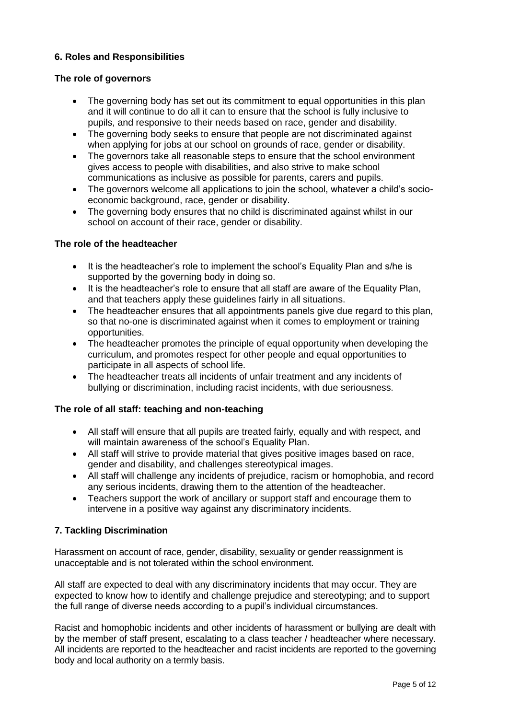# **6. Roles and Responsibilities**

## **The role of governors**

- The governing body has set out its commitment to equal opportunities in this plan and it will continue to do all it can to ensure that the school is fully inclusive to pupils, and responsive to their needs based on race, gender and disability.
- The governing body seeks to ensure that people are not discriminated against when applying for jobs at our school on grounds of race, gender or disability.
- The governors take all reasonable steps to ensure that the school environment gives access to people with disabilities, and also strive to make school communications as inclusive as possible for parents, carers and pupils.
- The governors welcome all applications to join the school, whatever a child's socioeconomic background, race, gender or disability.
- The governing body ensures that no child is discriminated against whilst in our school on account of their race, gender or disability.

#### **The role of the headteacher**

- It is the headteacher's role to implement the school's Equality Plan and s/he is supported by the governing body in doing so.
- It is the headteacher's role to ensure that all staff are aware of the Equality Plan, and that teachers apply these guidelines fairly in all situations.
- The headteacher ensures that all appointments panels give due regard to this plan, so that no-one is discriminated against when it comes to employment or training opportunities.
- The headteacher promotes the principle of equal opportunity when developing the curriculum, and promotes respect for other people and equal opportunities to participate in all aspects of school life.
- The headteacher treats all incidents of unfair treatment and any incidents of bullying or discrimination, including racist incidents, with due seriousness.

## **The role of all staff: teaching and non-teaching**

- All staff will ensure that all pupils are treated fairly, equally and with respect, and will maintain awareness of the school's Equality Plan.
- All staff will strive to provide material that gives positive images based on race, gender and disability, and challenges stereotypical images.
- All staff will challenge any incidents of prejudice, racism or homophobia, and record any serious incidents, drawing them to the attention of the headteacher.
- Teachers support the work of ancillary or support staff and encourage them to intervene in a positive way against any discriminatory incidents.

## **7. Tackling Discrimination**

Harassment on account of race, gender, disability, sexuality or gender reassignment is unacceptable and is not tolerated within the school environment.

All staff are expected to deal with any discriminatory incidents that may occur. They are expected to know how to identify and challenge prejudice and stereotyping; and to support the full range of diverse needs according to a pupil's individual circumstances.

Racist and homophobic incidents and other incidents of harassment or bullying are dealt with by the member of staff present, escalating to a class teacher / headteacher where necessary. All incidents are reported to the headteacher and racist incidents are reported to the governing body and local authority on a termly basis.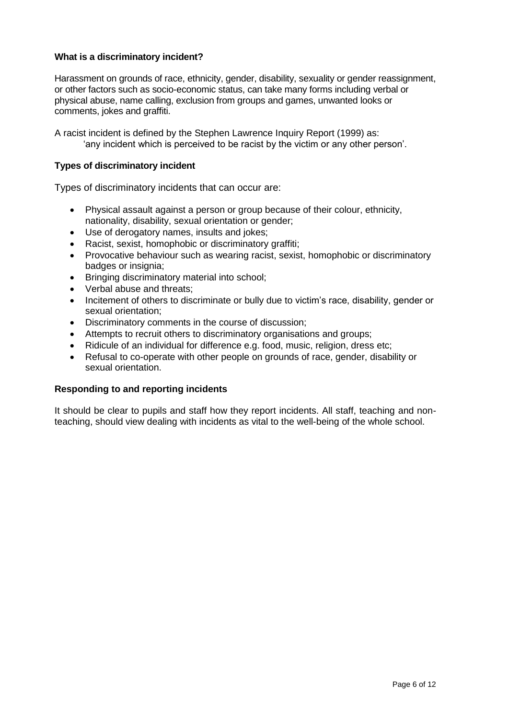## **What is a discriminatory incident?**

Harassment on grounds of race, ethnicity, gender, disability, sexuality or gender reassignment, or other factors such as socio-economic status, can take many forms including verbal or physical abuse, name calling, exclusion from groups and games, unwanted looks or comments, jokes and graffiti.

A racist incident is defined by the Stephen Lawrence Inquiry Report (1999) as: 'any incident which is perceived to be racist by the victim or any other person'.

## **Types of discriminatory incident**

Types of discriminatory incidents that can occur are:

- Physical assault against a person or group because of their colour, ethnicity, nationality, disability, sexual orientation or gender;
- Use of derogatory names, insults and jokes;
- Racist, sexist, homophobic or discriminatory graffiti;
- Provocative behaviour such as wearing racist, sexist, homophobic or discriminatory badges or insignia;
- Bringing discriminatory material into school;
- Verbal abuse and threats;
- Incitement of others to discriminate or bully due to victim's race, disability, gender or sexual orientation;
- Discriminatory comments in the course of discussion;
- Attempts to recruit others to discriminatory organisations and groups;
- Ridicule of an individual for difference e.g. food, music, religion, dress etc;
- Refusal to co-operate with other people on grounds of race, gender, disability or sexual orientation.

#### **Responding to and reporting incidents**

It should be clear to pupils and staff how they report incidents. All staff, teaching and nonteaching, should view dealing with incidents as vital to the well-being of the whole school.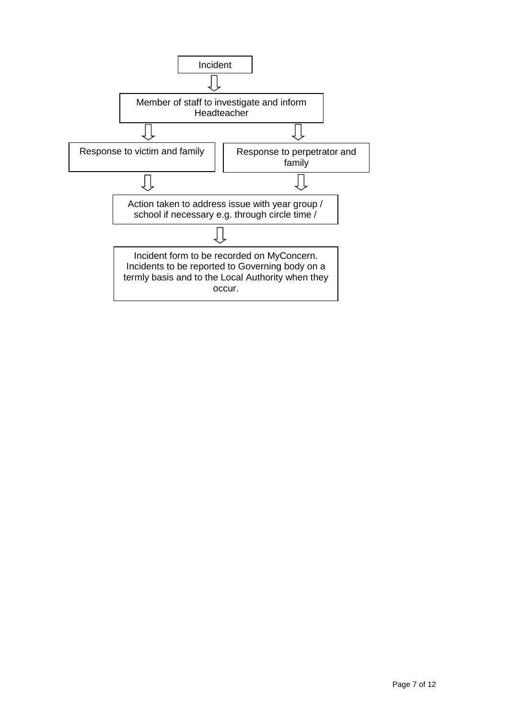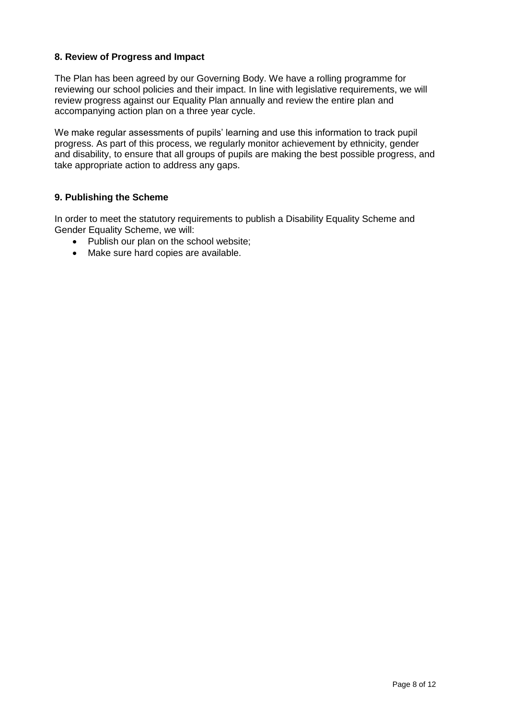## **8. Review of Progress and Impact**

The Plan has been agreed by our Governing Body. We have a rolling programme for reviewing our school policies and their impact. In line with legislative requirements, we will review progress against our Equality Plan annually and review the entire plan and accompanying action plan on a three year cycle.

We make regular assessments of pupils' learning and use this information to track pupil progress. As part of this process, we regularly monitor achievement by ethnicity, gender and disability, to ensure that all groups of pupils are making the best possible progress, and take appropriate action to address any gaps.

# **9. Publishing the Scheme**

In order to meet the statutory requirements to publish a Disability Equality Scheme and Gender Equality Scheme, we will:

- Publish our plan on the school website;
- Make sure hard copies are available.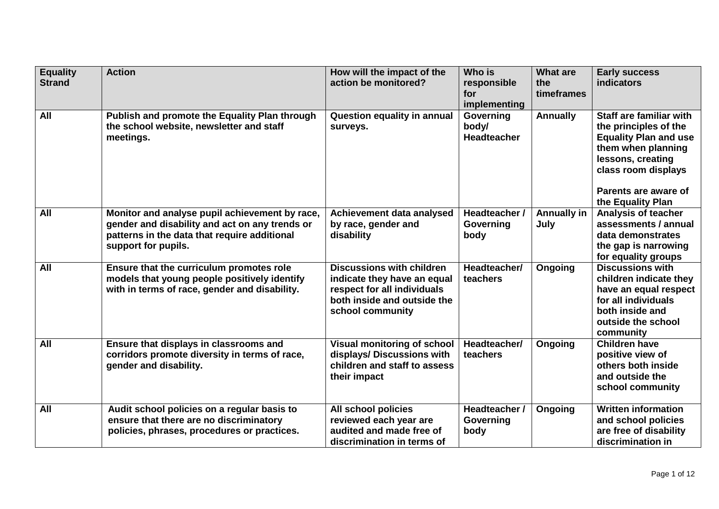| <b>Equality</b><br><b>Strand</b> | <b>Action</b>                                                                                                                                                           | How will the impact of the<br>action be monitored?                                                                                                | Who is<br>responsible<br>for<br>implementing | <b>What are</b><br>the<br>timeframes | <b>Early success</b><br>indicators                                                                                                                                                              |
|----------------------------------|-------------------------------------------------------------------------------------------------------------------------------------------------------------------------|---------------------------------------------------------------------------------------------------------------------------------------------------|----------------------------------------------|--------------------------------------|-------------------------------------------------------------------------------------------------------------------------------------------------------------------------------------------------|
| All                              | Publish and promote the Equality Plan through<br>the school website, newsletter and staff<br>meetings.                                                                  | <b>Question equality in annual</b><br>surveys.                                                                                                    | Governing<br>body/<br><b>Headteacher</b>     | Annually                             | Staff are familiar with<br>the principles of the<br><b>Equality Plan and use</b><br>them when planning<br>lessons, creating<br>class room displays<br>Parents are aware of<br>the Equality Plan |
| All                              | Monitor and analyse pupil achievement by race,<br>gender and disability and act on any trends or<br>patterns in the data that require additional<br>support for pupils. | Achievement data analysed<br>by race, gender and<br>disability                                                                                    | Headteacher /<br>Governing<br>body           | <b>Annually in</b><br>July           | <b>Analysis of teacher</b><br>assessments / annual<br>data demonstrates<br>the gap is narrowing<br>for equality groups                                                                          |
| All                              | Ensure that the curriculum promotes role<br>models that young people positively identify<br>with in terms of race, gender and disability.                               | <b>Discussions with children</b><br>indicate they have an equal<br>respect for all individuals<br>both inside and outside the<br>school community | Headteacher/<br>teachers                     | Ongoing                              | <b>Discussions with</b><br>children indicate they<br>have an equal respect<br>for all individuals<br>both inside and<br>outside the school<br>community                                         |
| All                              | Ensure that displays in classrooms and<br>corridors promote diversity in terms of race,<br>gender and disability.                                                       | <b>Visual monitoring of school</b><br>displays/ Discussions with<br>children and staff to assess<br>their impact                                  | Headteacher/<br>teachers                     | Ongoing                              | <b>Children have</b><br>positive view of<br>others both inside<br>and outside the<br>school community                                                                                           |
| All                              | Audit school policies on a regular basis to<br>ensure that there are no discriminatory<br>policies, phrases, procedures or practices.                                   | All school policies<br>reviewed each year are<br>audited and made free of<br>discrimination in terms of                                           | Headteacher /<br>Governing<br>body           | Ongoing                              | <b>Written information</b><br>and school policies<br>are free of disability<br>discrimination in                                                                                                |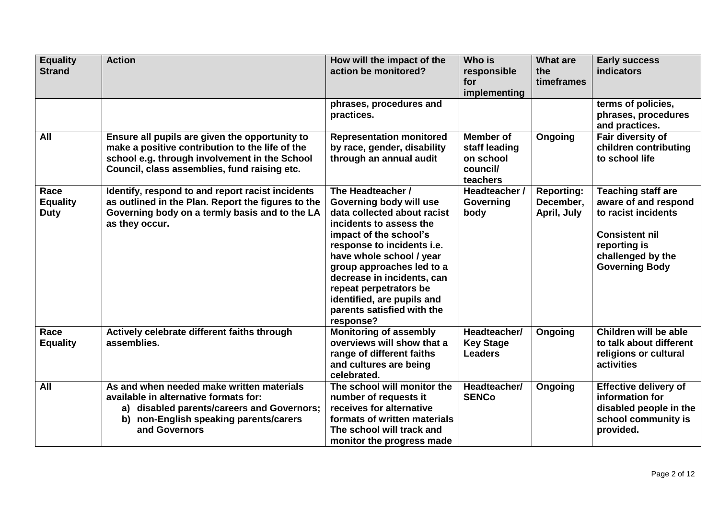| <b>Equality</b><br><b>Strand</b>       | <b>Action</b>                                                                                                                                                                                      | How will the impact of the<br>action be monitored?                                                                                                                                                                                                                                                                                                       | Who is<br>responsible<br>for<br>implementing                           | <b>What are</b><br>the<br>timeframes          | <b>Early success</b><br><b>indicators</b>                                                                                                                       |
|----------------------------------------|----------------------------------------------------------------------------------------------------------------------------------------------------------------------------------------------------|----------------------------------------------------------------------------------------------------------------------------------------------------------------------------------------------------------------------------------------------------------------------------------------------------------------------------------------------------------|------------------------------------------------------------------------|-----------------------------------------------|-----------------------------------------------------------------------------------------------------------------------------------------------------------------|
|                                        |                                                                                                                                                                                                    | phrases, procedures and<br>practices.                                                                                                                                                                                                                                                                                                                    |                                                                        |                                               | terms of policies,<br>phrases, procedures<br>and practices.                                                                                                     |
| <b>All</b>                             | Ensure all pupils are given the opportunity to<br>make a positive contribution to the life of the<br>school e.g. through involvement in the School<br>Council, class assemblies, fund raising etc. | <b>Representation monitored</b><br>by race, gender, disability<br>through an annual audit                                                                                                                                                                                                                                                                | <b>Member of</b><br>staff leading<br>on school<br>council/<br>teachers | Ongoing                                       | Fair diversity of<br>children contributing<br>to school life                                                                                                    |
| Race<br><b>Equality</b><br><b>Duty</b> | Identify, respond to and report racist incidents<br>as outlined in the Plan. Report the figures to the<br>Governing body on a termly basis and to the LA<br>as they occur.                         | The Headteacher /<br>Governing body will use<br>data collected about racist<br>incidents to assess the<br>impact of the school's<br>response to incidents i.e.<br>have whole school / year<br>group approaches led to a<br>decrease in incidents, can<br>repeat perpetrators be<br>identified, are pupils and<br>parents satisfied with the<br>response? | Headteacher /<br>Governing<br>body                                     | <b>Reporting:</b><br>December,<br>April, July | <b>Teaching staff are</b><br>aware of and respond<br>to racist incidents<br><b>Consistent nil</b><br>reporting is<br>challenged by the<br><b>Governing Body</b> |
| Race<br><b>Equality</b>                | Actively celebrate different faiths through<br>assemblies.                                                                                                                                         | <b>Monitoring of assembly</b><br>overviews will show that a<br>range of different faiths<br>and cultures are being<br>celebrated.                                                                                                                                                                                                                        | Headteacher/<br><b>Key Stage</b><br><b>Leaders</b>                     | Ongoing                                       | Children will be able<br>to talk about different<br>religions or cultural<br>activities                                                                         |
| All                                    | As and when needed make written materials<br>available in alternative formats for:<br>a) disabled parents/careers and Governors;<br>b) non-English speaking parents/carers<br>and Governors        | The school will monitor the<br>number of requests it<br>receives for alternative<br>formats of written materials<br>The school will track and<br>monitor the progress made                                                                                                                                                                               | Headteacher/<br><b>SENCo</b>                                           | Ongoing                                       | <b>Effective delivery of</b><br>information for<br>disabled people in the<br>school community is<br>provided.                                                   |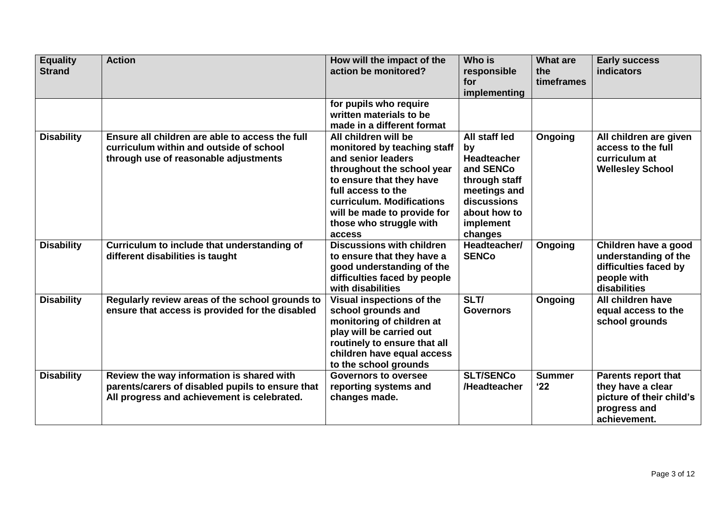| <b>Equality</b><br><b>Strand</b> | <b>Action</b>                                                                                                                                | How will the impact of the<br>action be monitored?                                                                                                                                                                                                         | Who is<br>responsible<br>for<br>implementing                                                                                                   | <b>What are</b><br>the<br>timeframes | <b>Early success</b><br>indicators                                                                          |
|----------------------------------|----------------------------------------------------------------------------------------------------------------------------------------------|------------------------------------------------------------------------------------------------------------------------------------------------------------------------------------------------------------------------------------------------------------|------------------------------------------------------------------------------------------------------------------------------------------------|--------------------------------------|-------------------------------------------------------------------------------------------------------------|
|                                  |                                                                                                                                              | for pupils who require<br>written materials to be<br>made in a different format                                                                                                                                                                            |                                                                                                                                                |                                      |                                                                                                             |
| <b>Disability</b>                | Ensure all children are able to access the full<br>curriculum within and outside of school<br>through use of reasonable adjustments          | All children will be<br>monitored by teaching staff<br>and senior leaders<br>throughout the school year<br>to ensure that they have<br>full access to the<br>curriculum. Modifications<br>will be made to provide for<br>those who struggle with<br>access | All staff led<br>by<br><b>Headteacher</b><br>and SENCo<br>through staff<br>meetings and<br>discussions<br>about how to<br>implement<br>changes | Ongoing                              | All children are given<br>access to the full<br>curriculum at<br><b>Wellesley School</b>                    |
| <b>Disability</b>                | Curriculum to include that understanding of<br>different disabilities is taught                                                              | <b>Discussions with children</b><br>to ensure that they have a<br>good understanding of the<br>difficulties faced by people<br>with disabilities                                                                                                           | Headteacher/<br><b>SENCo</b>                                                                                                                   | Ongoing                              | Children have a good<br>understanding of the<br>difficulties faced by<br>people with<br>disabilities        |
| <b>Disability</b>                | Regularly review areas of the school grounds to<br>ensure that access is provided for the disabled                                           | Visual inspections of the<br>school grounds and<br>monitoring of children at<br>play will be carried out<br>routinely to ensure that all<br>children have equal access<br>to the school grounds                                                            | SLT/<br><b>Governors</b>                                                                                                                       | Ongoing                              | All children have<br>equal access to the<br>school grounds                                                  |
| <b>Disability</b>                | Review the way information is shared with<br>parents/carers of disabled pupils to ensure that<br>All progress and achievement is celebrated. | <b>Governors to oversee</b><br>reporting systems and<br>changes made.                                                                                                                                                                                      | <b>SLT/SENCo</b><br>/Headteacher                                                                                                               | <b>Summer</b><br>22                  | <b>Parents report that</b><br>they have a clear<br>picture of their child's<br>progress and<br>achievement. |